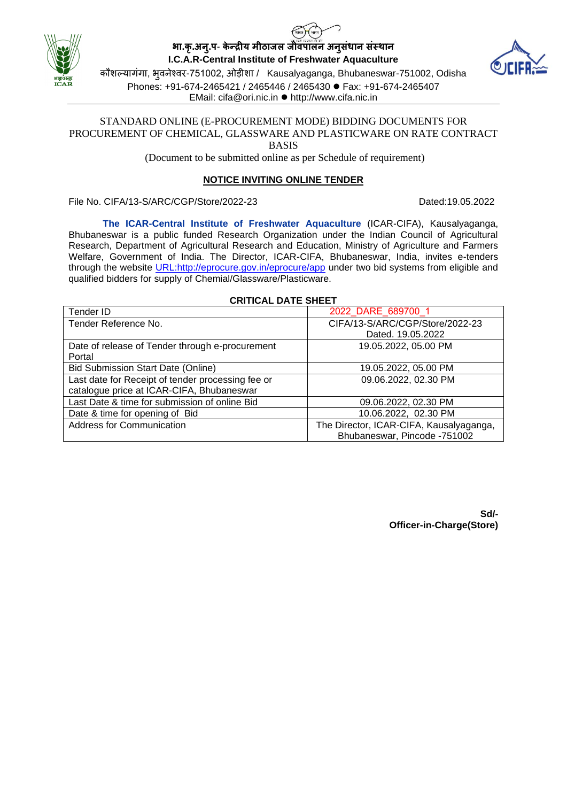





कौशल्यागंगा, भुवनेश्वर-751002, ओड़ीशा / Kausalyaganga, Bhubaneswar-751002, Odisha Phones: +91-674-2465421 / 2465446 / 2465430 ⚫ Fax: +91-674-2465407 EMail: cifa@ori.nic.in ⚫ http://www.cifa.nic.in

### STANDARD ONLINE (E-PROCUREMENT MODE) BIDDING DOCUMENTS FOR PROCUREMENT OF CHEMICAL, GLASSWARE AND PLASTICWARE ON RATE CONTRACT BASIS

(Document to be submitted online as per Schedule of requirement)

# **NOTICE INVITING ONLINE TENDER**

File No. CIFA/13-S/ARC/CGP/Store/2022-23 Dated:19.05.2022

**The ICAR-Central Institute of Freshwater Aquaculture** (ICAR-CIFA), Kausalyaganga, Bhubaneswar is a public funded Research Organization under the Indian Council of Agricultural Research, Department of Agricultural Research and Education, Ministry of Agriculture and Farmers Welfare, Government of India. The Director, ICAR-CIFA, Bhubaneswar, India, invites e-tenders through the website URL:http://eprocure.gov.in/eprocure/app under two bid systems from eligible and qualified bidders for supply of Chemial/Glassware/Plasticware.

| Tender ID                                         | 2022 DARE 689700 1                      |
|---------------------------------------------------|-----------------------------------------|
| Tender Reference No.                              | CIFA/13-S/ARC/CGP/Store/2022-23         |
|                                                   | Dated, 19.05.2022                       |
| Date of release of Tender through e-procurement   | 19.05.2022, 05.00 PM                    |
| Portal                                            |                                         |
| <b>Bid Submission Start Date (Online)</b>         | 19.05.2022, 05.00 PM                    |
| Last date for Receipt of tender processing fee or | 09.06.2022, 02.30 PM                    |
| catalogue price at ICAR-CIFA, Bhubaneswar         |                                         |
| Last Date & time for submission of online Bid     | 09.06.2022, 02.30 PM                    |
| Date & time for opening of Bid                    | 10.06.2022, 02.30 PM                    |
| <b>Address for Communication</b>                  | The Director, ICAR-CIFA, Kausalyaganga, |
|                                                   | Bhubaneswar, Pincode -751002            |

## **CRITICAL DATE SHEET**

**Sd/- Officer-in-Charge(Store)**